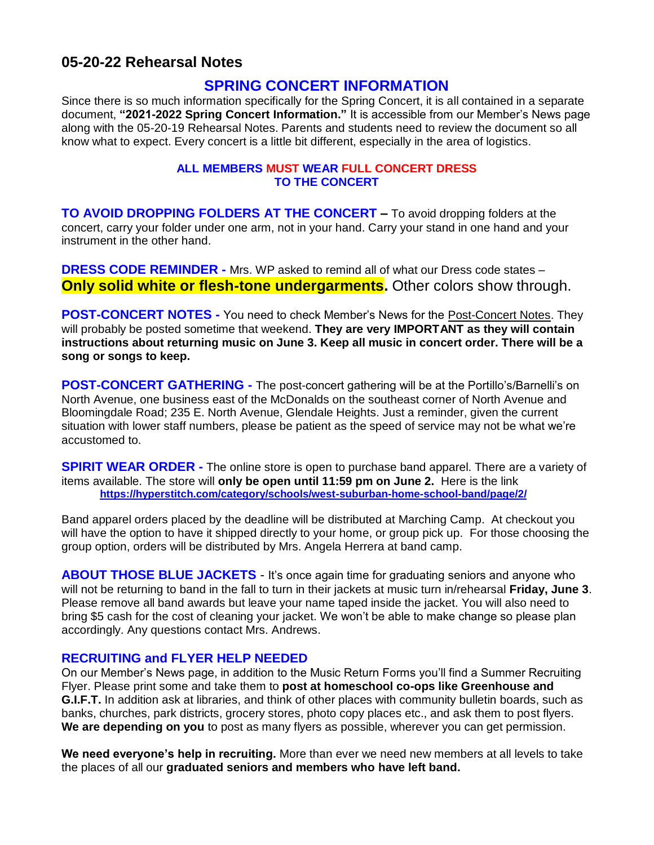# **05-20-22 Rehearsal Notes**

## **SPRING CONCERT INFORMATION**

Since there is so much information specifically for the Spring Concert, it is all contained in a separate document, **"2021-2022 Spring Concert Information."** It is accessible from our Member's News page along with the 05-20-19 Rehearsal Notes. Parents and students need to review the document so all know what to expect. Every concert is a little bit different, especially in the area of logistics.

#### **ALL MEMBERS MUST WEAR FULL CONCERT DRESS TO THE CONCERT**

**TO AVOID DROPPING FOLDERS AT THE CONCERT –** To avoid dropping folders at the concert, carry your folder under one arm, not in your hand. Carry your stand in one hand and your instrument in the other hand.

**DRESS CODE REMINDER -** Mrs. WP asked to remind all of what our Dress code states – **Only solid white or flesh-tone undergarments.** Other colors show through.

**POST-CONCERT NOTES -** You need to check Member's News for the Post-Concert Notes. They will probably be posted sometime that weekend. **They are very IMPORTANT as they will contain instructions about returning music on June 3. Keep all music in concert order. There will be a song or songs to keep.**

**POST-CONCERT GATHERING** - The post-concert gathering will be at the Portillo's/Barnelli's on North Avenue, one business east of the McDonalds on the southeast corner of North Avenue and Bloomingdale Road; 235 E. North Avenue, Glendale Heights. Just a reminder, given the current situation with lower staff numbers, please be patient as the speed of service may not be what we're accustomed to.

**SPIRIT WEAR ORDER** - The online store is open to purchase band apparel. There are a variety of items available. The store will **only be open until 11:59 pm on June 2.** Here is the link **<https://hyperstitch.com/category/schools/west-suburban-home-school-band/page/2/>**

Band apparel orders placed by the deadline will be distributed at Marching Camp. At checkout you will have the option to have it shipped directly to your home, or group pick up. For those choosing the group option, orders will be distributed by Mrs. Angela Herrera at band camp.

**ABOUT THOSE BLUE JACKETS** - It's once again time for graduating seniors and anyone who will not be returning to band in the fall to turn in their jackets at music turn in/rehearsal **Friday, June 3**. Please remove all band awards but leave your name taped inside the jacket. You will also need to bring \$5 cash for the cost of cleaning your jacket. We won't be able to make change so please plan accordingly. Any questions contact Mrs. Andrews.

#### **RECRUITING and FLYER HELP NEEDED**

On our Member's News page, in addition to the Music Return Forms you'll find a Summer Recruiting Flyer. Please print some and take them to **post at homeschool co-ops like Greenhouse and G.I.F.T.** In addition ask at libraries, and think of other places with community bulletin boards, such as banks, churches, park districts, grocery stores, photo copy places etc., and ask them to post flyers. **We are depending on you** to post as many flyers as possible, wherever you can get permission.

**We need everyone's help in recruiting.** More than ever we need new members at all levels to take the places of all our **graduated seniors and members who have left band.**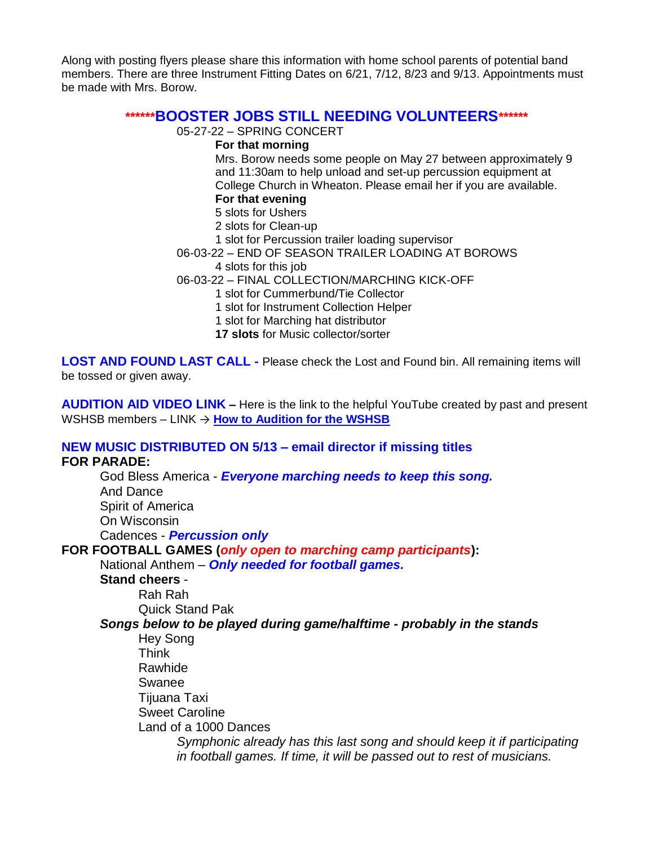Along with posting flyers please share this information with home school parents of potential band members. There are three Instrument Fitting Dates on 6/21, 7/12, 8/23 and 9/13. Appointments must be made with Mrs. Borow.

# **\*\*\*\*\*\*BOOSTER JOBS STILL NEEDING VOLUNTEERS\*\*\*\*\*\***

05-27-22 – SPRING CONCERT

#### **For that morning**

Mrs. Borow needs some people on May 27 between approximately 9 and 11:30am to help unload and set-up percussion equipment at College Church in Wheaton. Please email her if you are available. **For that evening**

# 5 slots for Ushers

- 2 slots for Clean-up
- 1 slot for Percussion trailer loading supervisor
- 06-03-22 END OF SEASON TRAILER LOADING AT BOROWS 4 slots for this job
- 06-03-22 FINAL COLLECTION/MARCHING KICK-OFF
	- 1 slot for Cummerbund/Tie Collector
		- 1 slot for Instrument Collection Helper
		- 1 slot for Marching hat distributor
		- **17 slots** for Music collector/sorter

**LOST AND FOUND LAST CALL -** Please check the Lost and Found bin. All remaining items will be tossed or given away.

**AUDITION AID VIDEO LINK –** Here is the link to the helpful YouTube created by past and present WSHSB members – LINK → **[How to Audition for the WSHSB](https://www.youtube.com/watch/3GLwboUAldw)**

#### **NEW MUSIC DISTRIBUTED ON 5/13 – email director if missing titles FOR PARADE:**

God Bless America - *Everyone marching needs to keep this song.* And Dance Spirit of America On Wisconsin Cadences - *Percussion only* **FOR FOOTBALL GAMES (***only open to marching camp participants***):** National Anthem – *Only needed for football games.*

**Stand cheers** - Rah Rah

Quick Stand Pak

### *Songs below to be played during game/halftime - probably in the stands*

Hey Song Think Rawhide Swanee Tijuana Taxi Sweet Caroline Land of a 1000 Dances *Symphonic already has this last song and should keep it if participating in football games. If time, it will be passed out to rest of musicians.*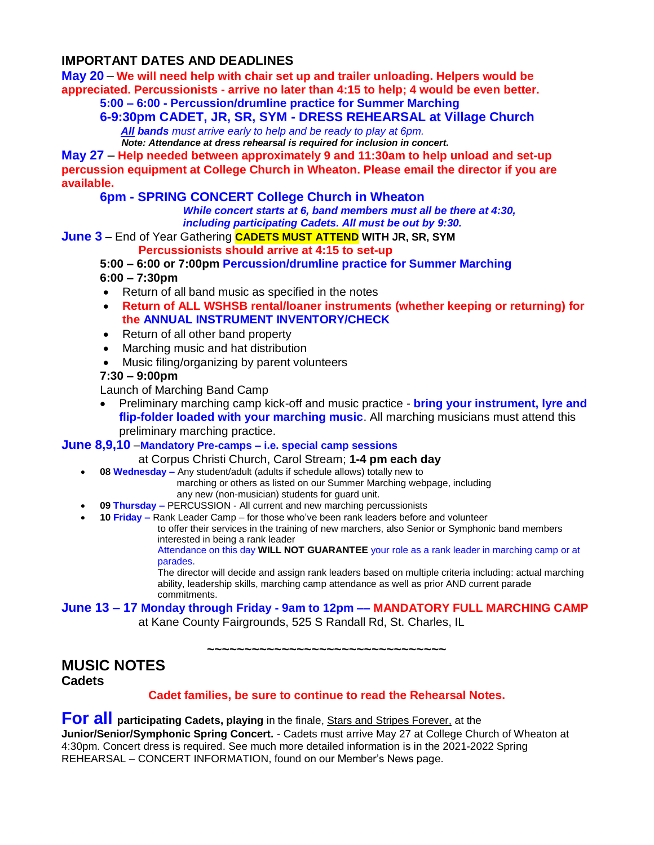### **IMPORTANT DATES AND DEADLINES**

**May 20** – **We will need help with chair set up and trailer unloading. Helpers would be appreciated. Percussionists - arrive no later than 4:15 to help; 4 would be even better.** 

# **5:00 – 6:00 - Percussion/drumline practice for Summer Marching**

**6-9:30pm CADET, JR, SR, SYM - DRESS REHEARSAL at Village Church**  *All bands must arrive early to help and be ready to play at 6pm.*

 *Note: Attendance at dress rehearsal is required for inclusion in concert.*

**May 27** – **Help needed between approximately 9 and 11:30am to help unload and set-up percussion equipment at College Church in Wheaton. Please email the director if you are available.**

**6pm - SPRING CONCERT College Church in Wheaton**

 *While concert starts at 6, band members must all be there at 4:30, including participating Cadets. All must be out by 9:30.*

**June 3** – End of Year Gathering **CADETS MUST ATTEND WITH JR, SR, SYM**

**Percussionists should arrive at 4:15 to set-up**

**5:00 – 6:00 or 7:00pm Percussion/drumline practice for Summer Marching**

# **6:00 – 7:30pm**

- Return of all band music as specified in the notes
- **Return of ALL WSHSB rental/loaner instruments (whether keeping or returning) for the ANNUAL INSTRUMENT INVENTORY/CHECK**
- Return of all other band property
- Marching music and hat distribution
- Music filing/organizing by parent volunteers

#### **7:30 – 9:00pm**

Launch of Marching Band Camp

• Preliminary marching camp kick-off and music practice - **bring your instrument, lyre and flip-folder loaded with your marching music**. All marching musicians must attend this preliminary marching practice.

#### **June 8,9,10** –**Mandatory Pre-camps – i.e. special camp sessions**

#### at Corpus Christi Church, Carol Stream; **1-4 pm each day**

- **08 Wednesday –** Any student/adult (adults if schedule allows) totally new to
	- marching or others as listed on our Summer Marching webpage, including any new (non-musician) students for guard unit.
- **09 Thursday –** PERCUSSION All current and new marching percussionists
- **10 Friday –** Rank Leader Camp for those who've been rank leaders before and volunteer

to offer their services in the training of new marchers, also Senior or Symphonic band members interested in being a rank leader

Attendance on this day **WILL NOT GUARANTEE** your role as a rank leader in marching camp or at parades.

The director will decide and assign rank leaders based on multiple criteria including: actual marching ability, leadership skills, marching camp attendance as well as prior AND current parade commitments.

#### **June 13 – 17 Monday through Friday - 9am to 12pm –– MANDATORY FULL MARCHING CAMP**  at Kane County Fairgrounds, 525 S Randall Rd, St. Charles, IL

**~~~~~~~~~~~~~~~~~~~~~~~~~~~~~~~~**

# **MUSIC NOTES**

**Cadets**

#### **Cadet families, be sure to continue to read the Rehearsal Notes.**

## **For all participating Cadets, playing** in the finale, **Stars and Stripes Forever**, at the

**Junior/Senior/Symphonic Spring Concert.** - Cadets must arrive May 27 at College Church of Wheaton at 4:30pm. Concert dress is required. See much more detailed information is in the 2021-2022 Spring REHEARSAL – CONCERT INFORMATION, found on our Member's News page.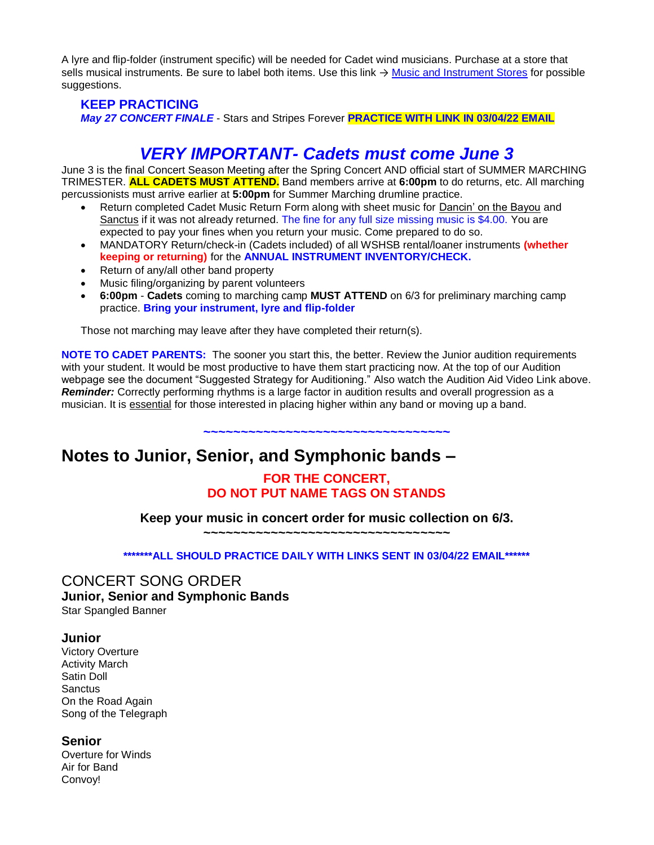A lyre and flip-folder (instrument specific) will be needed for Cadet wind musicians. Purchase at a store that sells musical instruments. Be sure to label both items. Use this link → [Music and Instrument Stores](http://www.wshsb.org/Library/docs-forms/General%20Info/Music%20and%20Instrument%20Stores.pdf) for possible suggestions.

### **KEEP PRACTICING** *May 27 CONCERT FINALE* - Stars and Stripes Forever **PRACTICE WITH LINK IN 03/04/22 EMAIL**

# *VERY IMPORTANT- Cadets must come June 3*

June 3 is the final Concert Season Meeting after the Spring Concert AND official start of SUMMER MARCHING TRIMESTER. **ALL CADETS MUST ATTEND.** Band members arrive at **6:00pm** to do returns, etc. All marching percussionists must arrive earlier at **5:00pm** for Summer Marching drumline practice.

- Return completed Cadet Music Return Form along with sheet music for Dancin' on the Bayou and Sanctus if it was not already returned. The fine for any full size missing music is \$4.00. You are expected to pay your fines when you return your music. Come prepared to do so.
- MANDATORY Return/check-in (Cadets included) of all WSHSB rental/loaner instruments **(whether keeping or returning)** for the **ANNUAL INSTRUMENT INVENTORY/CHECK.**
- Return of any/all other band property
- Music filing/organizing by parent volunteers
- **6:00pm Cadets** coming to marching camp **MUST ATTEND** on 6/3 for preliminary marching camp practice. **Bring your instrument, lyre and flip-folder**

Those not marching may leave after they have completed their return(s).

**NOTE TO CADET PARENTS:** The sooner you start this, the better. Review the Junior audition requirements with your student. It would be most productive to have them start practicing now. At the top of our Audition webpage see the document "Suggested Strategy for Auditioning." Also watch the Audition Aid Video Link above. **Reminder:** Correctly performing rhythms is a large factor in audition results and overall progression as a musician. It is essential for those interested in placing higher within any band or moving up a band.

**~~~~~~~~~~~~~~~~~~~~~~~~~~~~~~~~~**

# **Notes to Junior, Senior, and Symphonic bands –**

## **FOR THE CONCERT, DO NOT PUT NAME TAGS ON STANDS**

**Keep your music in concert order for music collection on 6/3.**

**~~~~~~~~~~~~~~~~~~~~~~~~~~~~~~~~~**

**\*\*\*\*\*\*\*ALL SHOULD PRACTICE DAILY WITH LINKS SENT IN 03/04/22 EMAIL\*\*\*\*\*\***

#### CONCERT SONG ORDER **Junior, Senior and Symphonic Bands** Star Spangled Banner

#### **Junior**

Victory Overture Activity March Satin Doll **Sanctus** On the Road Again Song of the Telegraph

#### **Senior**

Overture for Winds Air for Band Convoy!